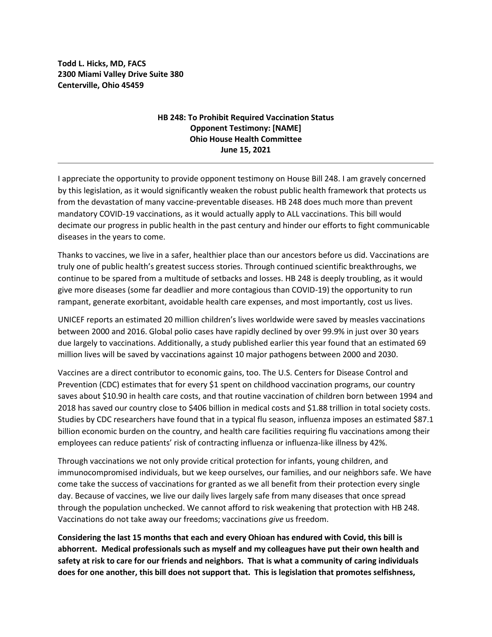**Todd L. Hicks, MD, FACS 2300 Miami Valley Drive Suite 380 Centerville, Ohio 45459**

## **HB 248: To Prohibit Required Vaccination Status Opponent Testimony: [NAME] Ohio House Health Committee June 15, 2021**

I appreciate the opportunity to provide opponent testimony on House Bill 248. I am gravely concerned by this legislation, as it would significantly weaken the robust public health framework that protects us from the devastation of many vaccine-preventable diseases. HB 248 does much more than prevent mandatory COVID-19 vaccinations, as it would actually apply to ALL vaccinations. This bill would decimate our progress in public health in the past century and hinder our efforts to fight communicable diseases in the years to come.

Thanks to vaccines, we live in a safer, healthier place than our ancestors before us did. Vaccinations are truly one of public health's greatest success stories. Through continued scientific breakthroughs, we continue to be spared from a multitude of setbacks and losses. HB 248 is deeply troubling, as it would give more diseases (some far deadlier and more contagious than COVID-19) the opportunity to run rampant, generate exorbitant, avoidable health care expenses, and most importantly, cost us lives.

UNICEF reports an estimated 20 million children's lives worldwide were saved by measles vaccinations between 2000 and 2016. Global polio cases have rapidly declined by over 99.9% in just over 30 years due largely to vaccinations. Additionally, a study published earlier this year found that an estimated 69 million lives will be saved by vaccinations against 10 major pathogens between 2000 and 2030.

Vaccines are a direct contributor to economic gains, too. The U.S. Centers for Disease Control and Prevention (CDC) estimates that for every \$1 spent on childhood vaccination programs, our country saves about \$10.90 in health care costs, and that routine vaccination of children born between 1994 and 2018 has saved our country close to \$406 billion in medical costs and \$1.88 trillion in total society costs. Studies by CDC researchers have found that in a typical flu season, influenza imposes an estimated \$87.1 billion economic burden on the country, and health care facilities requiring flu vaccinations among their employees can reduce patients' risk of contracting influenza or influenza-like illness by 42%.

Through vaccinations we not only provide critical protection for infants, young children, and immunocompromised individuals, but we keep ourselves, our families, and our neighbors safe. We have come take the success of vaccinations for granted as we all benefit from their protection every single day. Because of vaccines, we live our daily lives largely safe from many diseases that once spread through the population unchecked. We cannot afford to risk weakening that protection with HB 248. Vaccinations do not take away our freedoms; vaccinations *give* us freedom.

**Considering the last 15 months that each and every Ohioan has endured with Covid, this bill is abhorrent. Medical professionals such as myself and my colleagues have put their own health and safety at risk to care for our friends and neighbors. That is what a community of caring individuals does for one another, this bill does not support that. This is legislation that promotes selfishness,**